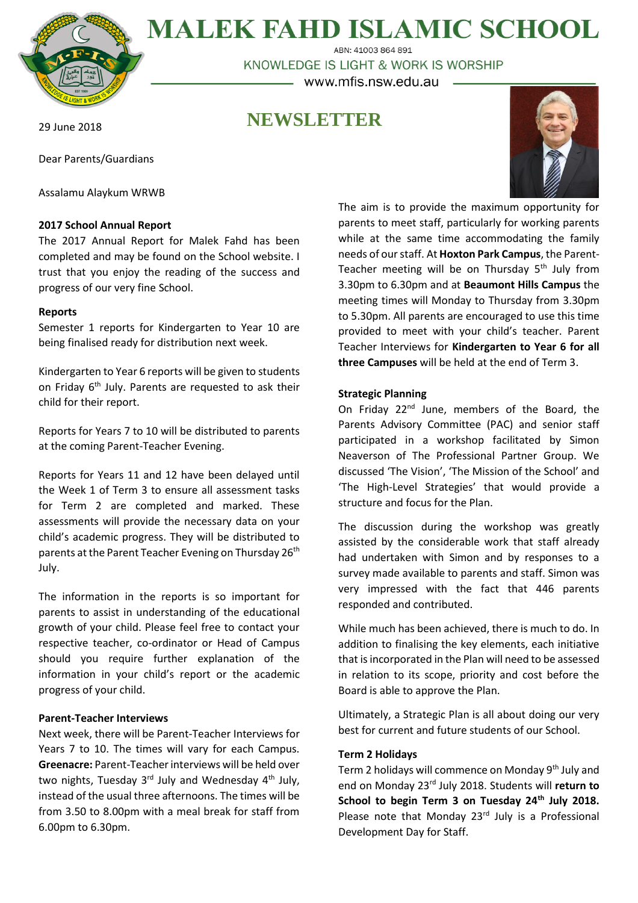

**MALEK FAHD ISLAMIC SCHOOL** ABN: 41003 864 891

KNOWLEDGE IS LIGHT & WORK IS WORSHIP - www.mfis.nsw.edu.au -

# **NEWSLETTER**

29 June 2018

Dear Parents/Guardians

Assalamu Alaykum WRWB

# **2017 School Annual Report**

The 2017 Annual Report for Malek Fahd has been completed and may be found on the School website. I trust that you enjoy the reading of the success and progress of our very fine School.

# **Reports**

Semester 1 reports for Kindergarten to Year 10 are being finalised ready for distribution next week.

Kindergarten to Year 6 reports will be given to students on Friday 6<sup>th</sup> July. Parents are requested to ask their child for their report.

Reports for Years 7 to 10 will be distributed to parents at the coming Parent-Teacher Evening.

Reports for Years 11 and 12 have been delayed until the Week 1 of Term 3 to ensure all assessment tasks for Term 2 are completed and marked. These assessments will provide the necessary data on your child's academic progress. They will be distributed to parents at the Parent Teacher Evening on Thursday 26<sup>th</sup> July.

The information in the reports is so important for parents to assist in understanding of the educational growth of your child. Please feel free to contact your respective teacher, co-ordinator or Head of Campus should you require further explanation of the information in your child's report or the academic progress of your child.

### **Parent-Teacher Interviews**

Next week, there will be Parent-Teacher Interviews for Years 7 to 10. The times will vary for each Campus. **Greenacre:** Parent-Teacher interviews will be held over two nights, Tuesday 3<sup>rd</sup> July and Wednesday 4<sup>th</sup> July, instead of the usual three afternoons. The times will be from 3.50 to 8.00pm with a meal break for staff from 6.00pm to 6.30pm.

The aim is to provide the maximum opportunity for parents to meet staff, particularly for working parents while at the same time accommodating the family needs of our staff. At **Hoxton Park Campus**, the Parent-Teacher meeting will be on Thursday  $5<sup>th</sup>$  July from 3.30pm to 6.30pm and at **Beaumont Hills Campus** the meeting times will Monday to Thursday from 3.30pm to 5.30pm. All parents are encouraged to use this time provided to meet with your child's teacher. Parent Teacher Interviews for **Kindergarten to Year 6 for all three Campuses** will be held at the end of Term 3.

# **Strategic Planning**

On Friday 22<sup>nd</sup> June, members of the Board, the Parents Advisory Committee (PAC) and senior staff participated in a workshop facilitated by Simon Neaverson of The Professional Partner Group. We discussed 'The Vision', 'The Mission of the School' and 'The High-Level Strategies' that would provide a structure and focus for the Plan.

The discussion during the workshop was greatly assisted by the considerable work that staff already had undertaken with Simon and by responses to a survey made available to parents and staff. Simon was very impressed with the fact that 446 parents responded and contributed.

While much has been achieved, there is much to do. In addition to finalising the key elements, each initiative that is incorporated in the Plan will need to be assessed in relation to its scope, priority and cost before the Board is able to approve the Plan.

Ultimately, a Strategic Plan is all about doing our very best for current and future students of our School.

### **Term 2 Holidays**

Term 2 holidays will commence on Monday 9<sup>th</sup> July and end on Monday 23rd July 2018. Students will **return to School to begin Term 3 on Tuesday 24th July 2018.** Please note that Monday  $23<sup>rd</sup>$  July is a Professional Development Day for Staff.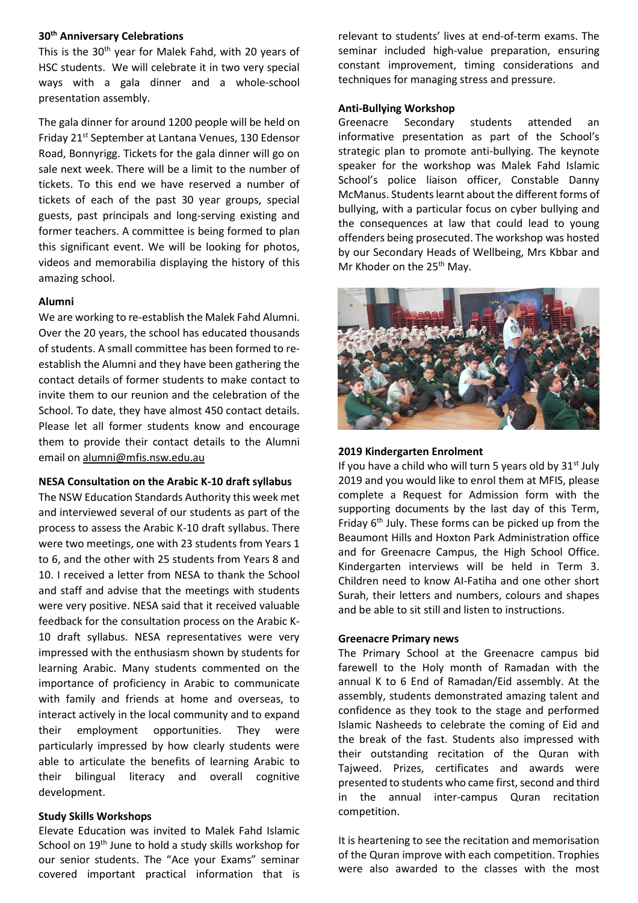### **30th Anniversary Celebrations**

This is the 30<sup>th</sup> year for Malek Fahd, with 20 years of HSC students. We will celebrate it in two very special ways with a gala dinner and a whole-school presentation assembly.

The gala dinner for around 1200 people will be held on Friday 21st September at Lantana Venues, 130 Edensor Road, Bonnyrigg. Tickets for the gala dinner will go on sale next week. There will be a limit to the number of tickets. To this end we have reserved a number of tickets of each of the past 30 year groups, special guests, past principals and long-serving existing and former teachers. A committee is being formed to plan this significant event. We will be looking for photos, videos and memorabilia displaying the history of this amazing school.

# **Alumni**

We are working to re-establish the Malek Fahd Alumni. Over the 20 years, the school has educated thousands of students. A small committee has been formed to reestablish the Alumni and they have been gathering the contact details of former students to make contact to invite them to our reunion and the celebration of the School. To date, they have almost 450 contact details. Please let all former students know and encourage them to provide their contact details to the Alumni email on [alumni@mfis.nsw.edu.au](mailto:alumni@mfis.nsw.edu.au)

#### **NESA Consultation on the Arabic K-10 draft syllabus**

The NSW Education Standards Authority this week met and interviewed several of our students as part of the process to assess the Arabic K-10 draft syllabus. There were two meetings, one with 23 students from Years 1 to 6, and the other with 25 students from Years 8 and 10. I received a letter from NESA to thank the School and staff and advise that the meetings with students were very positive. NESA said that it received valuable feedback for the consultation process on the Arabic K-10 draft syllabus. NESA representatives were very impressed with the enthusiasm shown by students for learning Arabic. Many students commented on the importance of proficiency in Arabic to communicate with family and friends at home and overseas, to interact actively in the local community and to expand their employment opportunities. They were particularly impressed by how clearly students were able to articulate the benefits of learning Arabic to their bilingual literacy and overall cognitive development.

### **Study Skills Workshops**

Elevate Education was invited to Malek Fahd Islamic School on 19th June to hold a study skills workshop for our senior students. The "Ace your Exams" seminar covered important practical information that is relevant to students' lives at end-of-term exams. The seminar included high-value preparation, ensuring constant improvement, timing considerations and techniques for managing stress and pressure.

#### **Anti-Bullying Workshop**

Greenacre Secondary students attended an informative presentation as part of the School's strategic plan to promote anti-bullying. The keynote speaker for the workshop was Malek Fahd Islamic School's police liaison officer, Constable Danny McManus. Students learnt about the different forms of bullying, with a particular focus on cyber bullying and the consequences at law that could lead to young offenders being prosecuted. The workshop was hosted by our Secondary Heads of Wellbeing, Mrs Kbbar and Mr Khoder on the 25<sup>th</sup> May.



### **2019 Kindergarten Enrolment**

If you have a child who will turn 5 years old by  $31^{st}$  July 2019 and you would like to enrol them at MFIS, please complete a Request for Admission form with the supporting documents by the last day of this Term, Friday  $6<sup>th</sup>$  July. These forms can be picked up from the Beaumont Hills and Hoxton Park Administration office and for Greenacre Campus, the High School Office. Kindergarten interviews will be held in Term 3. Children need to know AI-Fatiha and one other short Surah, their letters and numbers, colours and shapes and be able to sit still and listen to instructions.

### **Greenacre Primary news**

The Primary School at the Greenacre campus bid farewell to the Holy month of Ramadan with the annual K to 6 End of Ramadan/Eid assembly. At the assembly, students demonstrated amazing talent and confidence as they took to the stage and performed Islamic Nasheeds to celebrate the coming of Eid and the break of the fast. Students also impressed with their outstanding recitation of the Quran with Tajweed. Prizes, certificates and awards were presented to students who came first, second and third in the annual inter-campus Quran recitation competition.

It is heartening to see the recitation and memorisation of the Quran improve with each competition. Trophies were also awarded to the classes with the most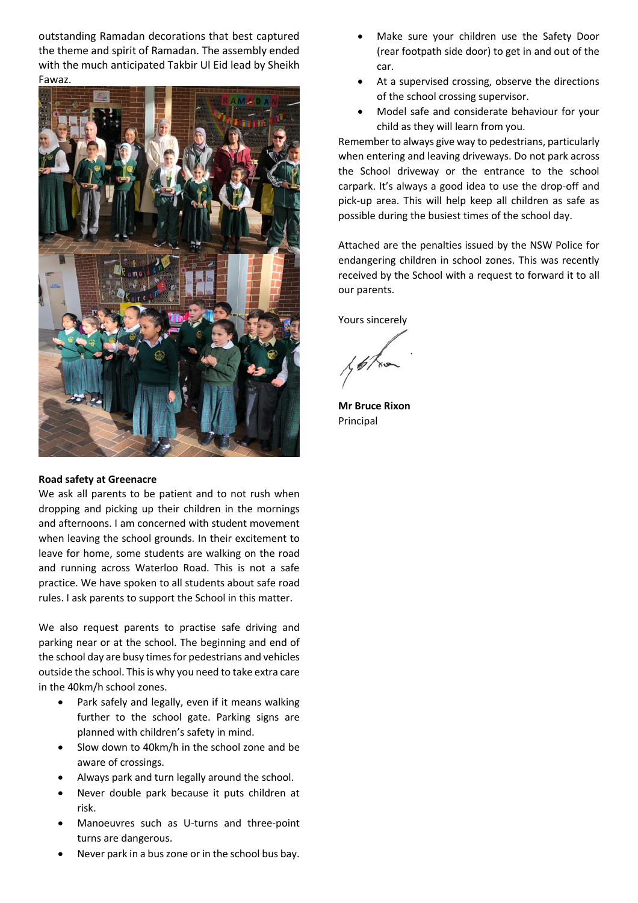outstanding Ramadan decorations that best captured the theme and spirit of Ramadan. The assembly ended with the much anticipated Takbir Ul Eid lead by Sheikh Fawaz.



### **Road safety at Greenacre**

We ask all parents to be patient and to not rush when dropping and picking up their children in the mornings and afternoons. I am concerned with student movement when leaving the school grounds. In their excitement to leave for home, some students are walking on the road and running across Waterloo Road. This is not a safe practice. We have spoken to all students about safe road rules. I ask parents to support the School in this matter.

We also request parents to practise safe driving and parking near or at the school. The beginning and end of the school day are busy times for pedestrians and vehicles outside the school. This is why you need to take extra care in the 40km/h school zones.

- Park safely and legally, even if it means walking further to the school gate. Parking signs are planned with children's safety in mind.
- Slow down to 40km/h in the school zone and be aware of crossings.
- Always park and turn legally around the school.
- Never double park because it puts children at risk.
- Manoeuvres such as U-turns and three-point turns are dangerous.
- Never park in a bus zone or in the school bus bay.
- Make sure your children use the Safety Door (rear footpath side door) to get in and out of the car.
- At a supervised crossing, observe the directions of the school crossing supervisor.
- Model safe and considerate behaviour for your child as they will learn from you.

Remember to always give way to pedestrians, particularly when entering and leaving driveways. Do not park across the School driveway or the entrance to the school carpark. It's always a good idea to use the drop-off and pick-up area. This will help keep all children as safe as possible during the busiest times of the school day.

Attached are the penalties issued by the NSW Police for endangering children in school zones. This was recently received by the School with a request to forward it to all our parents.

Yours sincerely

**Mr Bruce Rixon**  Principal